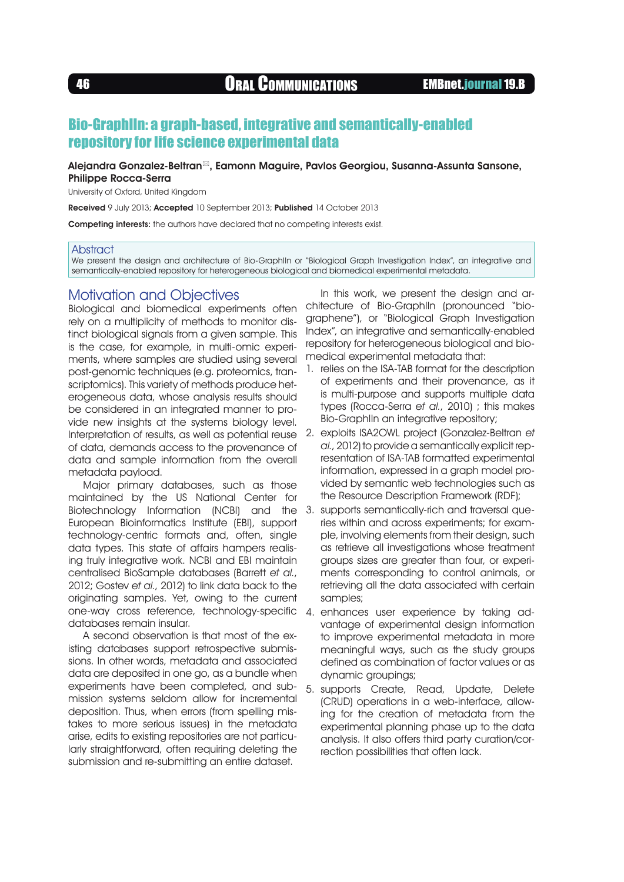# Bio-GraphIIn: a graph-based, integrative and semantically-enabled repository for life science experimental data

### Alejandra Gonzalez-Beltran<sup>®</sup>, Eamonn Maguire, Pavlos Georgiou, Susanna-Assunta Sansone, Philippe Rocca-Serra

University of Oxford, United Kingdom

Received 9 July 2013; Accepted 10 September 2013; Published 14 October 2013

Competing interests: the authors have declared that no competing interests exist.

#### **Abstract**

We present the design and architecture of Bio-GraphIIn or "Biological Graph Investigation Index", an integrative and semantically-enabled repository for heterogeneous biological and biomedical experimental metadata.

## Motivation and Objectives

Biological and biomedical experiments often rely on a multiplicity of methods to monitor distinct biological signals from a given sample. This is the case, for example, in multi-omic experiments, where samples are studied using several post-genomic techniques (e.g. proteomics, transcriptomics). This variety of methods produce heterogeneous data, whose analysis results should be considered in an integrated manner to provide new insights at the systems biology level. Interpretation of results, as well as potential reuse of data, demands access to the provenance of data and sample information from the overall metadata payload.

Major primary databases, such as those maintained by the US National Center for Biotechnology Information (NCBI) and the European Bioinformatics Institute (EBI), support technology-centric formats and, often, single data types. This state of affairs hampers realising truly integrative work. NCBI and EBI maintain centralised BioSample databases (Barrett et al., 2012; Gostev et al., 2012) to link data back to the originating samples. Yet, owing to the current one-way cross reference, technology-specific databases remain insular.

A second observation is that most of the existing databases support retrospective submissions. In other words, metadata and associated data are deposited in one go, as a bundle when experiments have been completed, and submission systems seldom allow for incremental deposition. Thus, when errors (from spelling mistakes to more serious issues) in the metadata arise, edits to existing repositories are not particularly straightforward, often requiring deleting the submission and re-submitting an entire dataset.

In this work, we present the design and architecture of Bio-GraphIIn (pronounced "biographene"), or "Biological Graph Investigation Index", an integrative and semantically-enabled repository for heterogeneous biological and biomedical experimental metadata that:

- 1. relies on the ISA-TAB format for the description of experiments and their provenance, as it is multi-purpose and supports multiple data types (Rocca-Serra et al., 2010) ; this makes Bio-GraphIIn an integrative repository;
- 2. exploits ISA2OWL project (Gonzalez-Beltran et al., 2012) to provide a semantically explicit representation of ISA-TAB formatted experimental information, expressed in a graph model provided by semantic web technologies such as the Resource Description Framework (RDF);
- 3. supports semantically-rich and traversal queries within and across experiments; for example, involving elements from their design, such as retrieve all investigations whose treatment groups sizes are greater than four, or experiments corresponding to control animals, or retrieving all the data associated with certain samples;
- 4. enhances user experience by taking advantage of experimental design information to improve experimental metadata in more meaningful ways, such as the study groups defined as combination of factor values or as dynamic groupings;
- 5. supports Create, Read, Update, Delete (CRUD) operations in a web-interface, allowing for the creation of metadata from the experimental planning phase up to the data analysis. It also offers third party curation/correction possibilities that often lack.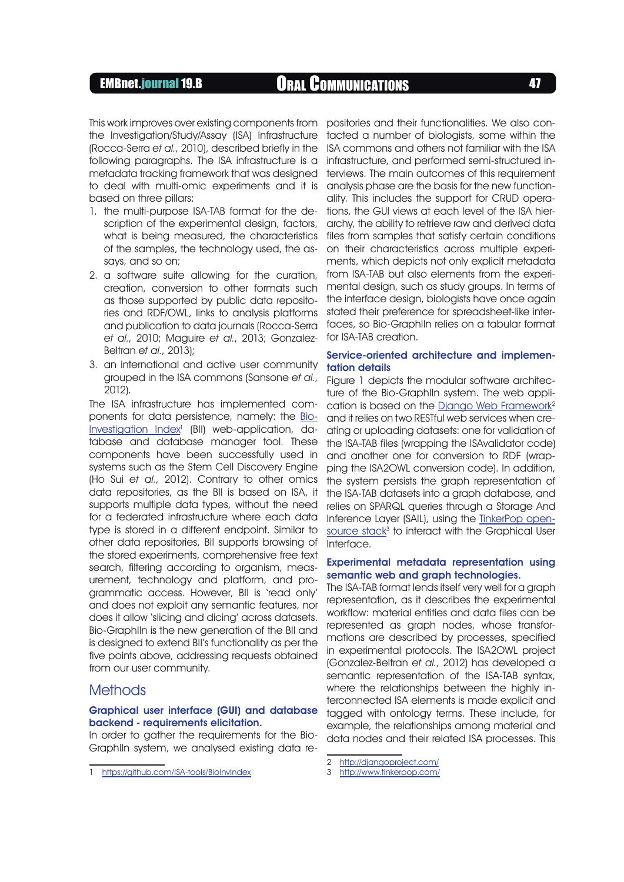# EMBnet.journal 19.B **ORAL COMMUNICATIONS** 47

This work improves over existing components from positories and their functionalities. We also conthe Investigation/Study/Assay (ISA) Infrastructure (Rocca-Serra et al., 2010), described briefly in the following paragraphs. The ISA infrastructure is a metadata tracking framework that was designed to deal with multi-omic experiments and it is based on three pillars:

- 1. the multi-purpose ISA-TAB format for the description of the experimental design, factors, what is being measured, the characteristics of the samples, the technology used, the assays, and so on;
- 2. a software suite allowing for the curation, creation, conversion to other formats such as those supported by public data repositories and RDF/OWL, links to analysis platforms and publication to data journals (Rocca-Serra et al., 2010; Maguire et al., 2013; Gonzalez-Beltran et al., 2013);
- 3. an international and active user community grouped in the ISA commons (Sansone et al., 2012).

The ISA infrastructure has implemented components for data persistence, namely: the [Bio-](https://github.com/ISA-tools/BioInvIndex)Investigation Index<sup>1</sup> (BII) web-application, database and database manager tool. These components have been successfully used in systems such as the Stem Cell Discovery Engine (Ho Sui et al., 2012). Contrary to other omics data repositories, as the BII is based on ISA, it supports multiple data types, without the need for a federated infrastructure where each data type is stored in a different endpoint. Similar to other data repositories, BII supports browsing of the stored experiments, comprehensive free text search, filtering according to organism, measurement, technology and platform, and programmatic access. However, BII is 'read only' and does not exploit any semantic features, nor does it allow 'slicing and dicing' across datasets. Bio-GraphIIn is the new generation of the BII and is designed to extend BII's functionality as per the five points above, addressing requests obtained from our user community.

## **Methods**

### Graphical user interface (GUI) and database backend - requirements elicitation.

In order to gather the requirements for the Bio-GraphIIn system, we analysed existing data retacted a number of biologists, some within the ISA commons and others not familiar with the ISA infrastructure, and performed semi-structured interviews. The main outcomes of this requirement analysis phase are the basis for the new functionality. This includes the support for CRUD operations, the GUI views at each level of the ISA hierarchy, the ability to retrieve raw and derived data files from samples that satisfy certain conditions on their characteristics across multiple experiments, which depicts not only explicit metadata from ISA-TAB but also elements from the experimental design, such as study groups. In terms of the interface design, biologists have once again stated their preference for spreadsheet-like interfaces, so Bio-GraphIIn relies on a tabular format for ISA-TAB creation.

#### Service-oriented architecture and implementation details

Figure 1 depicts the modular software architecture of the Bio-GraphIIn system. The web application is based on the [Django Web Framework2](http://djangoproject.com/) and it relies on two RESTful web services when creating or uploading datasets: one for validation of the ISA-TAB files (wrapping the ISAvalidator code) and another one for conversion to RDF (wrapping the ISA2OWL conversion code). In addition, the system persists the graph representation of the ISA-TAB datasets into a graph database, and relies on SPARQL queries through a Storage And Inference Layer (SAIL), using the [TinkerPop open](http://www.tinkerpop.com/) $source stock<sup>3</sup>$  to interact with the Graphical User Interface.

### Experimental metadata representation using semantic web and graph technologies.

The ISA-TAB format lends itself very well for a graph representation, as it describes the experimental workflow: material entities and data files can be represented as graph nodes, whose transformations are described by processes, specified in experimental protocols. The ISA2OWL project (Gonzalez-Beltran et al., 2012) has developed a semantic representation of the ISA-TAB syntax, where the relationships between the highly interconnected ISA elements is made explicit and tagged with ontology terms. These include, for example, the relationships among material and data nodes and their related ISA processes. This

<sup>1</sup> <https://github.com/ISA-tools/BioInvIndex>

<sup>2</sup> <http://djangoproject.com/>

<sup>3</sup> <http://www.tinkerpop.com/>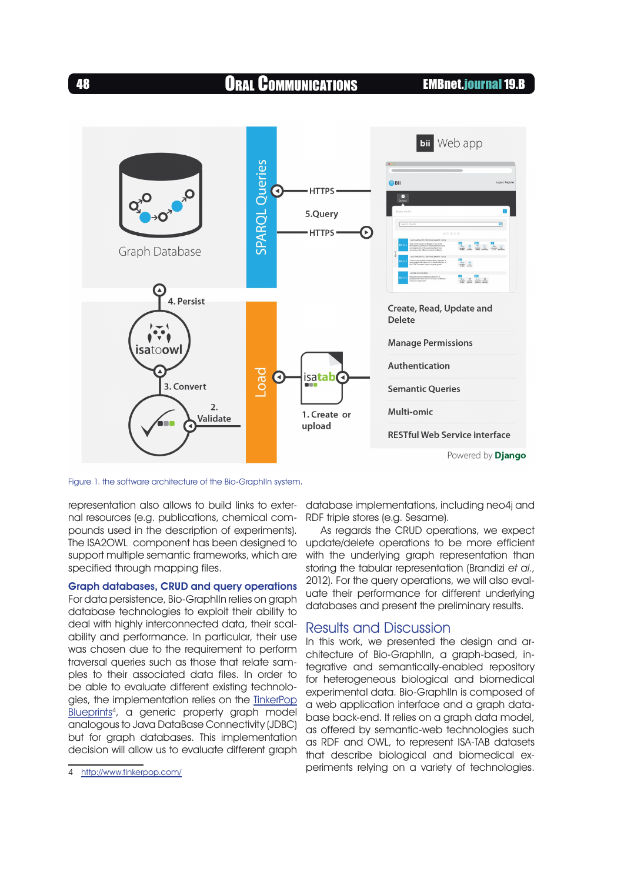48 Oral Communications EMBnet.journal 19.B



Figure 1. the software architecture of the Bio-GraphIIn system.

representation also allows to build links to external resources (e.g. publications, chemical compounds used in the description of experiments). The ISA2OWL component has been designed to support multiple semantic frameworks, which are specified through mapping files.

Graph databases, CRUD and query operations For data persistence, Bio-GraphIIn relies on graph database technologies to exploit their ability to deal with highly interconnected data, their scalability and performance. In particular, their use was chosen due to the requirement to perform traversal queries such as those that relate samples to their associated data files. In order to be able to evaluate different existing technologies, the implementation relies on the [TinkerPop](http://www.tinkerpop.com/) [Blueprints](http://www.tinkerpop.com/)<sup>4</sup>, a generic property graph model analogous to Java DataBase Connectivity (JDBC) but for graph databases. This implementation decision will allow us to evaluate different graph

database implementations, including neo4j and RDF triple stores (e.g. Sesame).

As regards the CRUD operations, we expect update/delete operations to be more efficient with the underlying graph representation than storing the tabular representation (Brandizi et al., 2012). For the query operations, we will also evaluate their performance for different underlying databases and present the preliminary results.

## Results and Discussion

In this work, we presented the design and architecture of Bio-GraphIIn, a graph-based, integrative and semantically-enabled repository for heterogeneous biological and biomedical experimental data. Bio-GraphIIn is composed of a web application interface and a graph database back-end. It relies on a graph data model, as offered by semantic-web technologies such as RDF and OWL, to represent ISA-TAB datasets that describe biological and biomedical experiments relying on a variety of technologies.

<sup>4</sup> <http://www.tinkerpop.com/>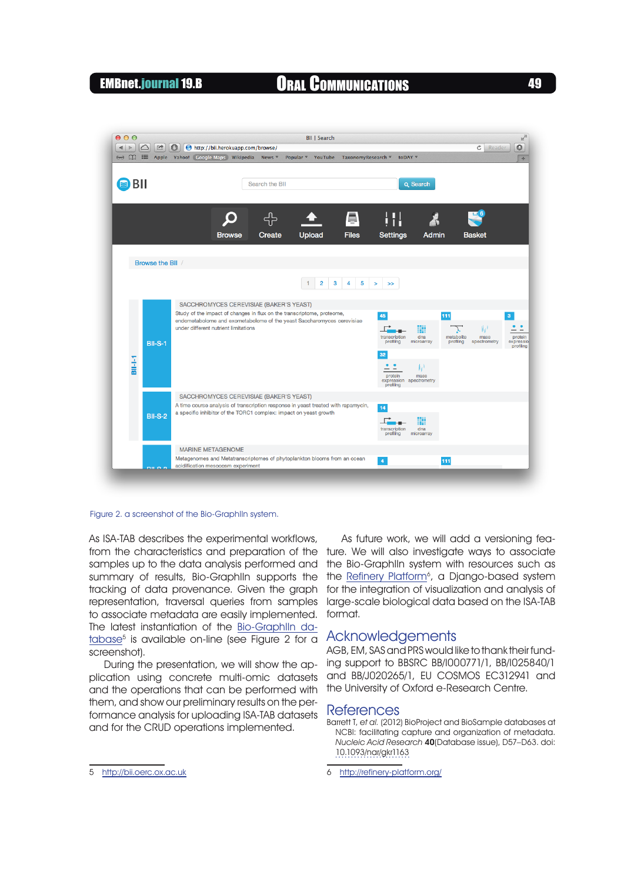# EMBnet.journal 19.B CORAL COMMUNICATIONS 49



#### Figure 2. a screenshot of the Bio-GraphIIn system.

As ISA-TAB describes the experimental workflows, from the characteristics and preparation of the samples up to the data analysis performed and summary of results, Bio-GraphIIn supports the tracking of data provenance. Given the graph representation, traversal queries from samples to associate metadata are easily implemented. The latest instantiation of the [Bio-GraphIIn da](http://bii.oerc.ox.ac.uk)tabase<sup>5</sup> is available on-line (see Figure 2 for a screenshot).

During the presentation, we will show the application using concrete multi-omic datasets and the operations that can be performed with them, and show our preliminary results on the performance analysis for uploading ISA-TAB datasets and for the CRUD operations implemented.

As future work, we will add a versioning feature. We will also investigate ways to associate the Bio-GraphIIn system with resources such as the Refinery Platform<sup>6</sup>, a Django-based system for the integration of visualization and analysis of large-scale biological data based on the ISA-TAB format.

### Acknowledgements

AGB, EM, SAS and PRS would like to thank their funding support to BBSRC BB/I000771/1, BB/I025840/1 and BB/J020265/1, EU COSMOS EC312941 and the University of Oxford e-Research Centre.

#### **References**

Barrett T, et al. (2012) BioProject and BioSample databases at NCBI: facilitating capture and organization of metadata. Nucleic Acid Research 40(Database issue), D57–D63. doi: [10.1093/nar/gkr1163](http://dx.doi.org/Figure 2. a screenshot of the Bio-GraphIIn system.)

6 <http://refinery-platform.org/>

<sup>5</sup> <http://bii.oerc.ox.ac.uk>